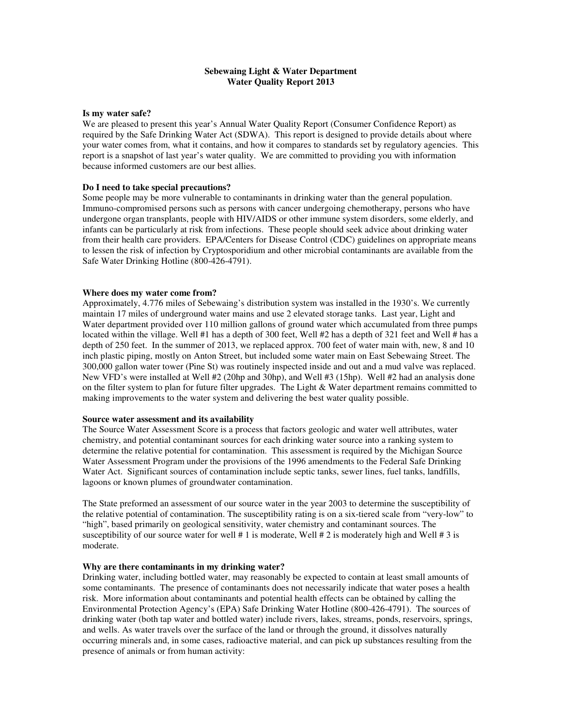## **Sebewaing Light & Water Department Water Quality Report 2013**

#### **Is my water safe?**

We are pleased to present this year's Annual Water Quality Report (Consumer Confidence Report) as required by the Safe Drinking Water Act (SDWA). This report is designed to provide details about where your water comes from, what it contains, and how it compares to standards set by regulatory agencies. This report is a snapshot of last year's water quality. We are committed to providing you with information because informed customers are our best allies.

## **Do I need to take special precautions?**

Some people may be more vulnerable to contaminants in drinking water than the general population. Immuno-compromised persons such as persons with cancer undergoing chemotherapy, persons who have undergone organ transplants, people with HIV/AIDS or other immune system disorders, some elderly, and infants can be particularly at risk from infections. These people should seek advice about drinking water from their health care providers. EPA/Centers for Disease Control (CDC) guidelines on appropriate means to lessen the risk of infection by Cryptosporidium and other microbial contaminants are available from the Safe Water Drinking Hotline (800-426-4791).

#### **Where does my water come from?**

Approximately, 4.776 miles of Sebewaing's distribution system was installed in the 1930's. We currently maintain 17 miles of underground water mains and use 2 elevated storage tanks. Last year, Light and Water department provided over 110 million gallons of ground water which accumulated from three pumps located within the village. Well #1 has a depth of 300 feet, Well #2 has a depth of 321 feet and Well # has a depth of 250 feet. In the summer of 2013, we replaced approx. 700 feet of water main with, new, 8 and 10 inch plastic piping, mostly on Anton Street, but included some water main on East Sebewaing Street. The 300,000 gallon water tower (Pine St) was routinely inspected inside and out and a mud valve was replaced. New VFD's were installed at Well #2 (20hp and 30hp), and Well #3 (15hp). Well #2 had an analysis done on the filter system to plan for future filter upgrades. The Light  $\&$  Water department remains committed to making improvements to the water system and delivering the best water quality possible.

### **Source water assessment and its availability**

The Source Water Assessment Score is a process that factors geologic and water well attributes, water chemistry, and potential contaminant sources for each drinking water source into a ranking system to determine the relative potential for contamination. This assessment is required by the Michigan Source Water Assessment Program under the provisions of the 1996 amendments to the Federal Safe Drinking Water Act. Significant sources of contamination include septic tanks, sewer lines, fuel tanks, landfills, lagoons or known plumes of groundwater contamination.

The State preformed an assessment of our source water in the year 2003 to determine the susceptibility of the relative potential of contamination. The susceptibility rating is on a six-tiered scale from "very-low" to "high", based primarily on geological sensitivity, water chemistry and contaminant sources. The susceptibility of our source water for well  $\# 1$  is moderate, Well  $\# 2$  is moderately high and Well  $\# 3$  is moderate.

#### **Why are there contaminants in my drinking water?**

Drinking water, including bottled water, may reasonably be expected to contain at least small amounts of some contaminants. The presence of contaminants does not necessarily indicate that water poses a health risk. More information about contaminants and potential health effects can be obtained by calling the Environmental Protection Agency's (EPA) Safe Drinking Water Hotline (800-426-4791). The sources of drinking water (both tap water and bottled water) include rivers, lakes, streams, ponds, reservoirs, springs, and wells. As water travels over the surface of the land or through the ground, it dissolves naturally occurring minerals and, in some cases, radioactive material, and can pick up substances resulting from the presence of animals or from human activity: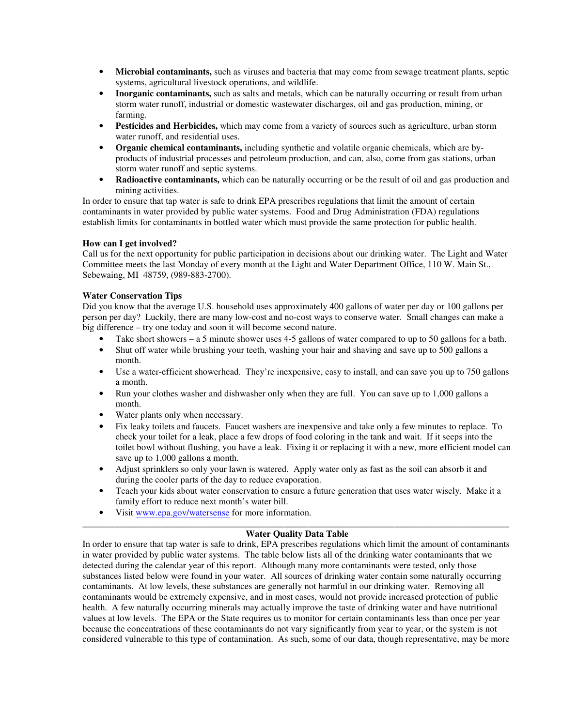- **Microbial contaminants,** such as viruses and bacteria that may come from sewage treatment plants, septic systems, agricultural livestock operations, and wildlife.
- **Inorganic contaminants,** such as salts and metals, which can be naturally occurring or result from urban storm water runoff, industrial or domestic wastewater discharges, oil and gas production, mining, or farming.
- **Pesticides and Herbicides,** which may come from a variety of sources such as agriculture, urban storm water runoff, and residential uses.
- **Organic chemical contaminants,** including synthetic and volatile organic chemicals, which are byproducts of industrial processes and petroleum production, and can, also, come from gas stations, urban storm water runoff and septic systems.
- **Radioactive contaminants,** which can be naturally occurring or be the result of oil and gas production and mining activities.

In order to ensure that tap water is safe to drink EPA prescribes regulations that limit the amount of certain contaminants in water provided by public water systems. Food and Drug Administration (FDA) regulations establish limits for contaminants in bottled water which must provide the same protection for public health.

## **How can I get involved?**

Call us for the next opportunity for public participation in decisions about our drinking water. The Light and Water Committee meets the last Monday of every month at the Light and Water Department Office, 110 W. Main St., Sebewaing, MI 48759, (989-883-2700).

## **Water Conservation Tips**

Did you know that the average U.S. household uses approximately 400 gallons of water per day or 100 gallons per person per day? Luckily, there are many low-cost and no-cost ways to conserve water. Small changes can make a big difference – try one today and soon it will become second nature.

- Take short showers a 5 minute shower uses 4-5 gallons of water compared to up to 50 gallons for a bath.
- Shut off water while brushing your teeth, washing your hair and shaving and save up to 500 gallons a month.
- Use a water-efficient showerhead. They're inexpensive, easy to install, and can save you up to 750 gallons a month.
- Run your clothes washer and dishwasher only when they are full. You can save up to 1,000 gallons a month.
- Water plants only when necessary.
- Fix leaky toilets and faucets. Faucet washers are inexpensive and take only a few minutes to replace. To check your toilet for a leak, place a few drops of food coloring in the tank and wait. If it seeps into the toilet bowl without flushing, you have a leak. Fixing it or replacing it with a new, more efficient model can save up to 1,000 gallons a month.
- Adjust sprinklers so only your lawn is watered. Apply water only as fast as the soil can absorb it and during the cooler parts of the day to reduce evaporation.
- Teach your kids about water conservation to ensure a future generation that uses water wisely. Make it a family effort to reduce next month's water bill.
- Visit www.epa.gov/watersense for more information.

### \_\_\_\_\_\_\_\_\_\_\_\_\_\_\_\_\_\_\_\_\_\_\_\_\_\_\_\_\_\_\_\_\_\_\_\_\_\_\_\_\_\_\_\_\_\_\_\_\_\_\_\_\_\_\_\_\_\_\_\_\_\_\_\_\_\_\_\_\_\_\_\_\_\_\_\_\_\_\_\_\_\_\_\_\_\_\_\_\_\_\_\_\_ **Water Quality Data Table**

In order to ensure that tap water is safe to drink, EPA prescribes regulations which limit the amount of contaminants in water provided by public water systems. The table below lists all of the drinking water contaminants that we detected during the calendar year of this report. Although many more contaminants were tested, only those substances listed below were found in your water. All sources of drinking water contain some naturally occurring contaminants. At low levels, these substances are generally not harmful in our drinking water. Removing all contaminants would be extremely expensive, and in most cases, would not provide increased protection of public health. A few naturally occurring minerals may actually improve the taste of drinking water and have nutritional values at low levels. The EPA or the State requires us to monitor for certain contaminants less than once per year because the concentrations of these contaminants do not vary significantly from year to year, or the system is not considered vulnerable to this type of contamination. As such, some of our data, though representative, may be more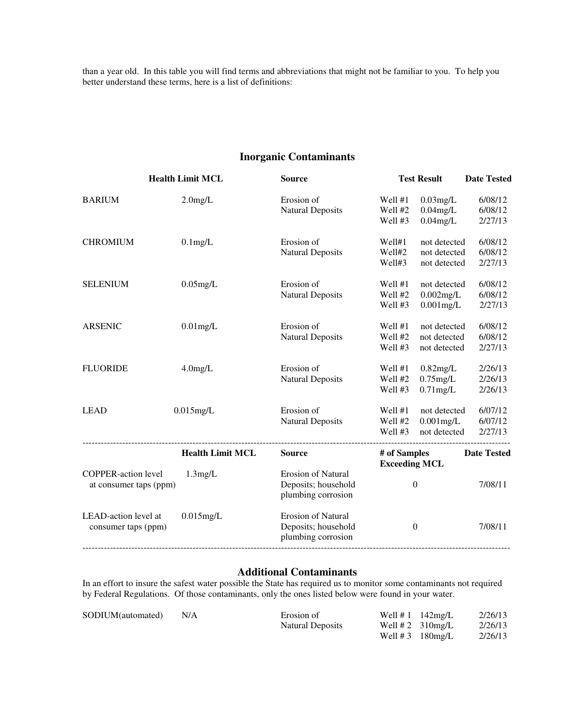than a year old. In this table you will find terms and abbreviations that might not be familiar to you. To help you better understand these terms, here is a list of definitions:

# **Inorganic Contaminants**

|                            | <b>Health Limit MCL</b> | <b>Source</b>             |                                      | <b>Test Result</b> | <b>Date Tested</b> |
|----------------------------|-------------------------|---------------------------|--------------------------------------|--------------------|--------------------|
| <b>BARIUM</b>              | $2.0$ mg/L              | Erosion of                | Well #1                              | $0.03$ mg/L        | 6/08/12            |
|                            |                         | <b>Natural Deposits</b>   | Well #2                              | $0.04$ mg/L        | 6/08/12            |
|                            |                         |                           | Well #3                              | $0.04$ mg/L        | 2/27/13            |
| <b>CHROMIUM</b>            | $0.1$ mg/L              | Erosion of                | Well#1                               | not detected       | 6/08/12            |
|                            |                         | <b>Natural Deposits</b>   | Well#2                               | not detected       | 6/08/12            |
|                            |                         |                           | Well#3                               | not detected       | 2/27/13            |
| <b>SELENIUM</b>            | $0.05$ mg/L             | Erosion of                | Well #1                              | not detected       | 6/08/12            |
|                            |                         | <b>Natural Deposits</b>   | Well #2                              | $0.002$ mg/L       | 6/08/12            |
|                            |                         |                           | Well #3                              | $0.001$ mg/L       | 2/27/13            |
| <b>ARSENIC</b>             | $0.01$ mg/L             | Erosion of                | Well #1                              | not detected       | 6/08/12            |
|                            |                         | <b>Natural Deposits</b>   | Well #2                              | not detected       | 6/08/12            |
|                            |                         |                           | Well #3                              | not detected       | 2/27/13            |
| <b>FLUORIDE</b>            | $4.0$ mg/L              | Erosion of                | Well #1                              | $0.82$ mg/L        | 2/26/13            |
|                            |                         | <b>Natural Deposits</b>   | Well #2                              | $0.75$ mg/L        | 2/26/13            |
|                            |                         |                           | Well #3                              | $0.71$ mg/L        | 2/26/13            |
| <b>LEAD</b>                | $0.015$ mg/L            | Erosion of                | Well #1                              | not detected       | 6/07/12            |
|                            |                         | <b>Natural Deposits</b>   | Well #2                              | $0.001$ mg/L       | 6/07/12            |
|                            |                         |                           | Well #3                              | not detected       | 2/27/13            |
|                            | <b>Health Limit MCL</b> | <b>Source</b>             | # of Samples<br><b>Exceeding MCL</b> |                    | <b>Date Tested</b> |
| <b>COPPER-action level</b> | 1.3mg/L                 | <b>Erosion of Natural</b> |                                      |                    |                    |
| at consumer taps (ppm)     |                         | Deposits; household       |                                      | $\boldsymbol{0}$   | 7/08/11            |
|                            |                         | plumbing corrosion        |                                      |                    |                    |
| LEAD-action level at       | $0.015$ mg/L            | <b>Erosion of Natural</b> |                                      |                    |                    |
| consumer taps (ppm)        |                         | Deposits; household       |                                      | $\boldsymbol{0}$   | 7/08/11            |
|                            |                         | plumbing corrosion        |                                      |                    |                    |
|                            |                         |                           |                                      |                    |                    |

## **Additional Contaminants**

In an effort to insure the safest water possible the State has required us to monitor some contaminants not required by Federal Regulations. Of those contaminants, only the ones listed below were found in your water.

| SODIUM(automated) | N/A | Erosion of       | Well $# 1$ 142mg/L        | 2/26/13 |
|-------------------|-----|------------------|---------------------------|---------|
|                   |     | Natural Deposits | Well # 2 $310$ mg/L       | 2/26/13 |
|                   |     |                  | Well # $3 \quad 180$ mg/L | 2/26/13 |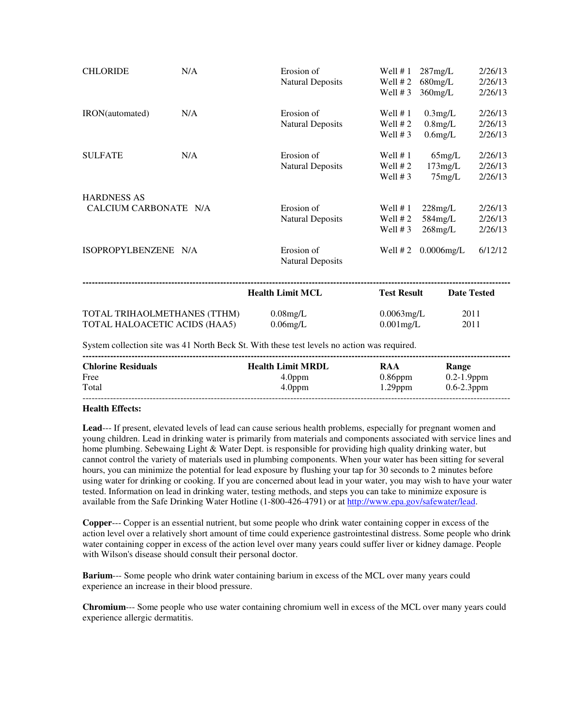| <b>CHLORIDE</b>                                               | N/A | Erosion of<br><b>Natural Deposits</b>                                                                                                                                                                       | Well $# 1$<br>Well $# 2$<br>Well $# 3$ | $287$ mg/L<br>$680$ mg/L<br>$360$ mg/L | 2/26/13<br>2/26/13<br>2/26/13 |
|---------------------------------------------------------------|-----|-------------------------------------------------------------------------------------------------------------------------------------------------------------------------------------------------------------|----------------------------------------|----------------------------------------|-------------------------------|
| IRON(automated)                                               | N/A | Erosion of<br><b>Natural Deposits</b>                                                                                                                                                                       | Well $# 1$<br>Well $# 2$<br>Well $# 3$ | $0.3$ mg/L<br>$0.8$ mg/L<br>$0.6$ mg/L | 2/26/13<br>2/26/13<br>2/26/13 |
| <b>SULFATE</b>                                                | N/A | Erosion of<br><b>Natural Deposits</b>                                                                                                                                                                       | Well $# 1$<br>Well $# 2$<br>Well $# 3$ | $65$ mg/L<br>$173$ mg/L<br>$75$ mg/L   | 2/26/13<br>2/26/13<br>2/26/13 |
| <b>HARDNESS AS</b><br>CALCIUM CARBONATE N/A                   |     | Erosion of<br><b>Natural Deposits</b>                                                                                                                                                                       | Well $# 1$<br>Well $# 2$<br>Well $# 3$ | $228$ mg/L<br>584mg/L<br>$268$ mg/L    | 2/26/13<br>2/26/13<br>2/26/13 |
| ISOPROPYLBENZENE N/A                                          |     | Erosion of<br><b>Natural Deposits</b>                                                                                                                                                                       | Well $# 2$                             | $0.0006$ mg/L                          | 6/12/12                       |
|                                                               |     | <b>Health Limit MCL</b>                                                                                                                                                                                     | <b>Test Result</b>                     | <b>Date Tested</b>                     |                               |
| TOTAL TRIHAOLMETHANES (TTHM)<br>TOTAL HALOACETIC ACIDS (HAA5) |     | $0.08$ mg/L<br>$0.06$ mg/L<br>$\Omega$ , and a set of the set of $\Omega$ and $\Omega$ and $\Omega$ and $\Omega$ and $\Omega$ and $\Omega$ and $\Omega$ and $\Omega$ and $\Omega$ and $\Omega$ and $\Omega$ | $0.0063$ mg/L<br>$0.001$ mg/L          | 2011<br>2011                           |                               |

System collection site was 41 North Beck St. With these test levels no action was required.

| <b>Chlorine Residuals</b> | <b>Health Limit MRDL</b> | RAA        | Range           |
|---------------------------|--------------------------|------------|-----------------|
| Free                      | 4.0 <sub>ppm</sub>       | $0.86$ ppm | $0.2 - 1.9$ ppm |
| Total                     | 4.0 <sub>ppm</sub>       | $1.29$ ppm | $0.6 - 2.3$ ppm |
|                           |                          |            |                 |

## **Health Effects:**

**Lead**--- If present, elevated levels of lead can cause serious health problems, especially for pregnant women and young children. Lead in drinking water is primarily from materials and components associated with service lines and home plumbing. Sebewaing Light & Water Dept. is responsible for providing high quality drinking water, but cannot control the variety of materials used in plumbing components. When your water has been sitting for several hours, you can minimize the potential for lead exposure by flushing your tap for 30 seconds to 2 minutes before using water for drinking or cooking. If you are concerned about lead in your water, you may wish to have your water tested. Information on lead in drinking water, testing methods, and steps you can take to minimize exposure is available from the Safe Drinking Water Hotline (1-800-426-4791) or at http://www.epa.gov/safewater/lead.

**Copper**--- Copper is an essential nutrient, but some people who drink water containing copper in excess of the action level over a relatively short amount of time could experience gastrointestinal distress. Some people who drink water containing copper in excess of the action level over many years could suffer liver or kidney damage. People with Wilson's disease should consult their personal doctor.

**Barium**--- Some people who drink water containing barium in excess of the MCL over many years could experience an increase in their blood pressure.

**Chromium**--- Some people who use water containing chromium well in excess of the MCL over many years could experience allergic dermatitis.